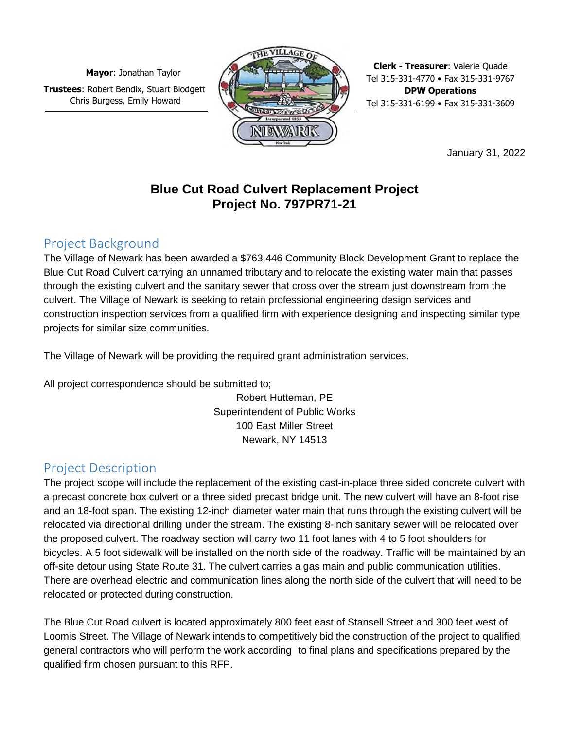**Mayor**: Jonathan Taylor **Trustees**: Robert Bendix, Stuart Blodgett Chris Burgess, Emily Howard



**Clerk - Treasurer**: Valerie Quade Tel 315-331-4770 • Fax 315-331-9767 **DPW Operations**  Tel 315-331-6199 • Fax 315-331-3609

January 31, 2022

# **Blue Cut Road Culvert Replacement Project Project No. 797PR71-21**

# Project Background

The Village of Newark has been awarded a \$763,446 Community Block Development Grant to replace the Blue Cut Road Culvert carrying an unnamed tributary and to relocate the existing water main that passes through the existing culvert and the sanitary sewer that cross over the stream just downstream from the culvert. The Village of Newark is seeking to retain professional engineering design services and construction inspection services from a qualified firm with experience designing and inspecting similar type projects for similar size communities.

The Village of Newark will be providing the required grant administration services.

All project correspondence should be submitted to;

Robert Hutteman, PE Superintendent of Public Works 100 East Miller Street Newark, NY 14513

## Project Description

The project scope will include the replacement of the existing cast-in-place three sided concrete culvert with a precast concrete box culvert or a three sided precast bridge unit. The new culvert will have an 8-foot rise and an 18-foot span. The existing 12-inch diameter water main that runs through the existing culvert will be relocated via directional drilling under the stream. The existing 8-inch sanitary sewer will be relocated over the proposed culvert. The roadway section will carry two 11 foot lanes with 4 to 5 foot shoulders for bicycles. A 5 foot sidewalk will be installed on the north side of the roadway. Traffic will be maintained by an off-site detour using State Route 31. The culvert carries a gas main and public communication utilities. There are overhead electric and communication lines along the north side of the culvert that will need to be relocated or protected during construction.

The Blue Cut Road culvert is located approximately 800 feet east of Stansell Street and 300 feet west of Loomis Street. The Village of Newark intends to competitively bid the construction of the project to qualified general contractors who will perform the work according to final plans and specifications prepared by the qualified firm chosen pursuant to this RFP.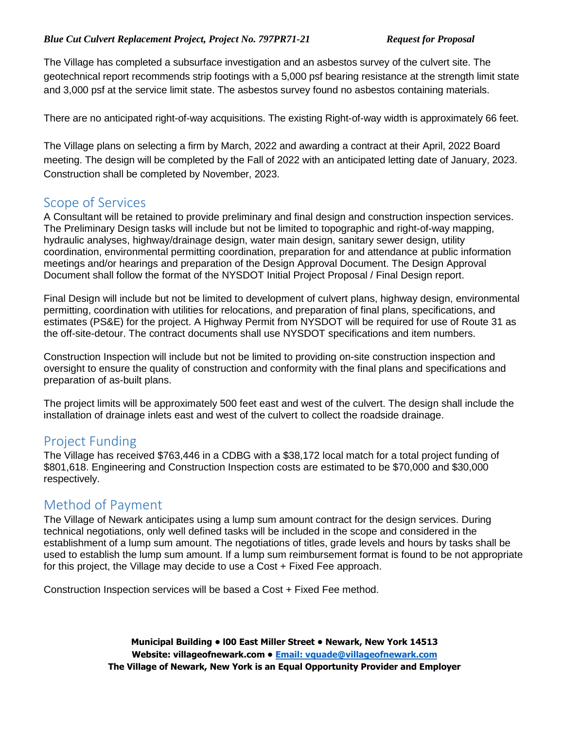The Village has completed a subsurface investigation and an asbestos survey of the culvert site. The geotechnical report recommends strip footings with a 5,000 psf bearing resistance at the strength limit state and 3,000 psf at the service limit state. The asbestos survey found no asbestos containing materials.

There are no anticipated right-of-way acquisitions. The existing Right-of-way width is approximately 66 feet.

The Village plans on selecting a firm by March, 2022 and awarding a contract at their April, 2022 Board meeting. The design will be completed by the Fall of 2022 with an anticipated letting date of January, 2023. Construction shall be completed by November, 2023.

### Scope of Services

A Consultant will be retained to provide preliminary and final design and construction inspection services. The Preliminary Design tasks will include but not be limited to topographic and right-of-way mapping, hydraulic analyses, highway/drainage design, water main design, sanitary sewer design, utility coordination, environmental permitting coordination, preparation for and attendance at public information meetings and/or hearings and preparation of the Design Approval Document. The Design Approval Document shall follow the format of the NYSDOT Initial Project Proposal / Final Design report.

Final Design will include but not be limited to development of culvert plans, highway design, environmental permitting, coordination with utilities for relocations, and preparation of final plans, specifications, and estimates (PS&E) for the project. A Highway Permit from NYSDOT will be required for use of Route 31 as the off-site-detour. The contract documents shall use NYSDOT specifications and item numbers.

Construction Inspection will include but not be limited to providing on-site construction inspection and oversight to ensure the quality of construction and conformity with the final plans and specifications and preparation of as-built plans.

The project limits will be approximately 500 feet east and west of the culvert. The design shall include the installation of drainage inlets east and west of the culvert to collect the roadside drainage.

## Project Funding

The Village has received \$763,446 in a CDBG with a \$38,172 local match for a total project funding of \$801,618. Engineering and Construction Inspection costs are estimated to be \$70,000 and \$30,000 respectively.

### Method of Payment

The Village of Newark anticipates using a lump sum amount contract for the design services. During technical negotiations, only well defined tasks will be included in the scope and considered in the establishment of a lump sum amount. The negotiations of titles, grade levels and hours by tasks shall be used to establish the lump sum amount. If a lump sum reimbursement format is found to be not appropriate for this project, the Village may decide to use a Cost + Fixed Fee approach.

Construction Inspection services will be based a Cost + Fixed Fee method.

**Municipal Building • l00 East Miller Street • Newark, New York 14513 Website: [villageofnewark.com](http://villageofnewark.com/) • [Email: vquade@villageofnewark.com](mailto:Email:%20vquade@villageofnewark.com)  The Village of Newark, New York is an Equal Opportunity Provider and Employer**